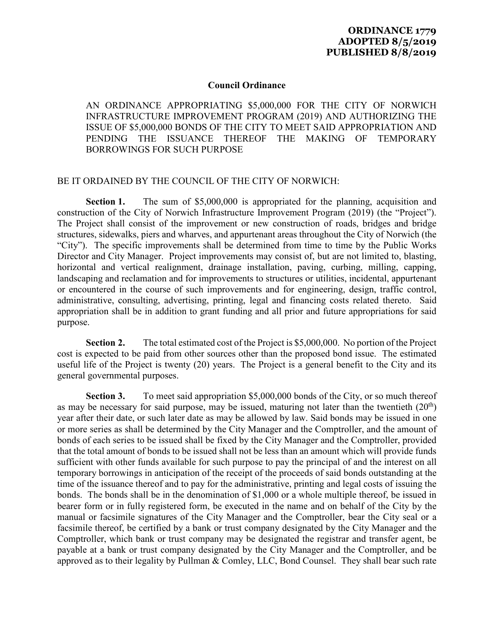## **Council Ordinance**

AN ORDINANCE APPROPRIATING \$5,000,000 FOR THE CITY OF NORWICH INFRASTRUCTURE IMPROVEMENT PROGRAM (2019) AND AUTHORIZING THE ISSUE OF \$5,000,000 BONDS OF THE CITY TO MEET SAID APPROPRIATION AND PENDING THE ISSUANCE THEREOF THE MAKING OF TEMPORARY BORROWINGS FOR SUCH PURPOSE

## BE IT ORDAINED BY THE COUNCIL OF THE CITY OF NORWICH:

**Section 1.** The sum of \$5,000,000 is appropriated for the planning, acquisition and construction of the City of Norwich Infrastructure Improvement Program (2019) (the "Project"). The Project shall consist of the improvement or new construction of roads, bridges and bridge structures, sidewalks, piers and wharves, and appurtenant areas throughout the City of Norwich (the "City"). The specific improvements shall be determined from time to time by the Public Works Director and City Manager. Project improvements may consist of, but are not limited to, blasting, horizontal and vertical realignment, drainage installation, paving, curbing, milling, capping, landscaping and reclamation and for improvements to structures or utilities, incidental, appurtenant or encountered in the course of such improvements and for engineering, design, traffic control, administrative, consulting, advertising, printing, legal and financing costs related thereto. Said appropriation shall be in addition to grant funding and all prior and future appropriations for said purpose.

**Section 2.** The total estimated cost of the Project is \$5,000,000. No portion of the Project cost is expected to be paid from other sources other than the proposed bond issue. The estimated useful life of the Project is twenty (20) years. The Project is a general benefit to the City and its general governmental purposes.

**Section 3.** To meet said appropriation \$5,000,000 bonds of the City, or so much thereof as may be necessary for said purpose, may be issued, maturing not later than the twentieth  $(20<sup>th</sup>)$ year after their date, or such later date as may be allowed by law. Said bonds may be issued in one or more series as shall be determined by the City Manager and the Comptroller, and the amount of bonds of each series to be issued shall be fixed by the City Manager and the Comptroller, provided that the total amount of bonds to be issued shall not be less than an amount which will provide funds sufficient with other funds available for such purpose to pay the principal of and the interest on all temporary borrowings in anticipation of the receipt of the proceeds of said bonds outstanding at the time of the issuance thereof and to pay for the administrative, printing and legal costs of issuing the bonds. The bonds shall be in the denomination of \$1,000 or a whole multiple thereof, be issued in bearer form or in fully registered form, be executed in the name and on behalf of the City by the manual or facsimile signatures of the City Manager and the Comptroller, bear the City seal or a facsimile thereof, be certified by a bank or trust company designated by the City Manager and the Comptroller, which bank or trust company may be designated the registrar and transfer agent, be payable at a bank or trust company designated by the City Manager and the Comptroller, and be approved as to their legality by Pullman & Comley, LLC, Bond Counsel. They shall bear such rate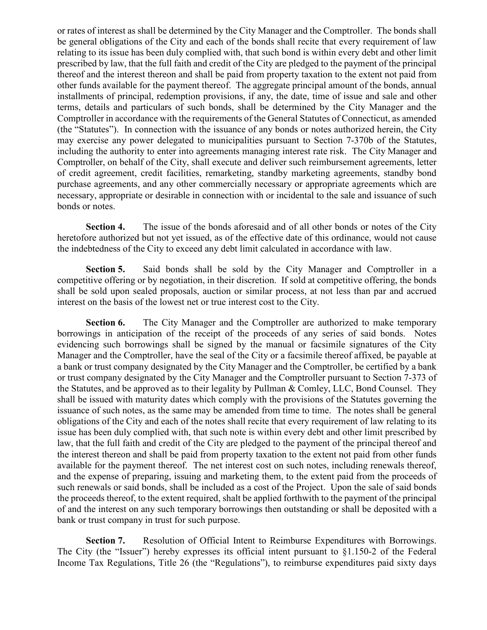or rates of interest as shall be determined by the City Manager and the Comptroller. The bonds shall be general obligations of the City and each of the bonds shall recite that every requirement of law relating to its issue has been duly complied with, that such bond is within every debt and other limit prescribed by law, that the full faith and credit of the City are pledged to the payment of the principal thereof and the interest thereon and shall be paid from property taxation to the extent not paid from other funds available for the payment thereof. The aggregate principal amount of the bonds, annual installments of principal, redemption provisions, if any, the date, time of issue and sale and other terms, details and particulars of such bonds, shall be determined by the City Manager and the Comptroller in accordance with the requirements of the General Statutes of Connecticut, as amended (the "Statutes"). In connection with the issuance of any bonds or notes authorized herein, the City may exercise any power delegated to municipalities pursuant to Section 7-370b of the Statutes, including the authority to enter into agreements managing interest rate risk. The City Manager and Comptroller, on behalf of the City, shall execute and deliver such reimbursement agreements, letter of credit agreement, credit facilities, remarketing, standby marketing agreements, standby bond purchase agreements, and any other commercially necessary or appropriate agreements which are necessary, appropriate or desirable in connection with or incidental to the sale and issuance of such bonds or notes.

**Section 4.** The issue of the bonds aforesaid and of all other bonds or notes of the City heretofore authorized but not yet issued, as of the effective date of this ordinance, would not cause the indebtedness of the City to exceed any debt limit calculated in accordance with law.

**Section 5.** Said bonds shall be sold by the City Manager and Comptroller in a competitive offering or by negotiation, in their discretion. If sold at competitive offering, the bonds shall be sold upon sealed proposals, auction or similar process, at not less than par and accrued interest on the basis of the lowest net or true interest cost to the City.

**Section 6.** The City Manager and the Comptroller are authorized to make temporary borrowings in anticipation of the receipt of the proceeds of any series of said bonds. Notes evidencing such borrowings shall be signed by the manual or facsimile signatures of the City Manager and the Comptroller, have the seal of the City or a facsimile thereof affixed, be payable at a bank or trust company designated by the City Manager and the Comptroller, be certified by a bank or trust company designated by the City Manager and the Comptroller pursuant to Section 7-373 of the Statutes, and be approved as to their legality by Pullman & Comley, LLC, Bond Counsel. They shall be issued with maturity dates which comply with the provisions of the Statutes governing the issuance of such notes, as the same may be amended from time to time. The notes shall be general obligations of the City and each of the notes shall recite that every requirement of law relating to its issue has been duly complied with, that such note is within every debt and other limit prescribed by law, that the full faith and credit of the City are pledged to the payment of the principal thereof and the interest thereon and shall be paid from property taxation to the extent not paid from other funds available for the payment thereof. The net interest cost on such notes, including renewals thereof, and the expense of preparing, issuing and marketing them, to the extent paid from the proceeds of such renewals or said bonds, shall be included as a cost of the Project. Upon the sale of said bonds the proceeds thereof, to the extent required, shalt be applied forthwith to the payment of the principal of and the interest on any such temporary borrowings then outstanding or shall be deposited with a bank or trust company in trust for such purpose.

**Section 7.** Resolution of Official Intent to Reimburse Expenditures with Borrowings. The City (the "Issuer") hereby expresses its official intent pursuant to §1.150-2 of the Federal Income Tax Regulations, Title 26 (the "Regulations"), to reimburse expenditures paid sixty days